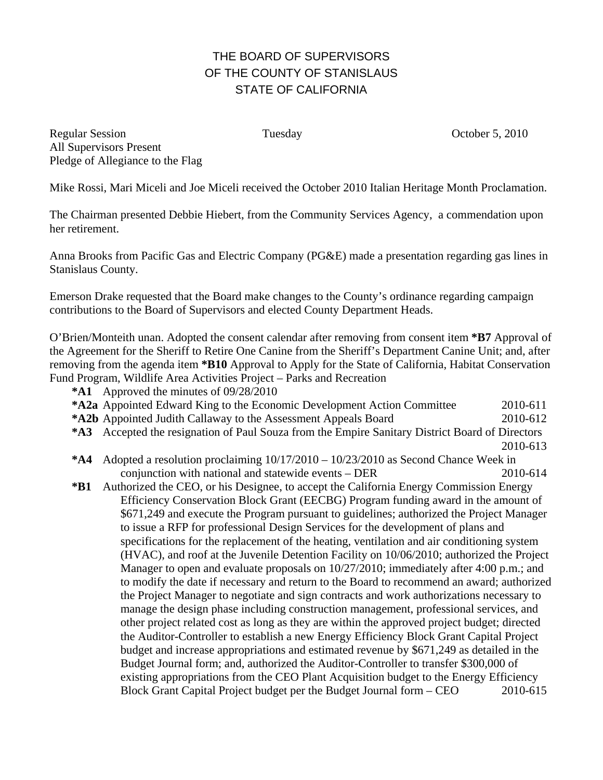# THE BOARD OF SUPERVISORS OF THE COUNTY OF STANISLAUS STATE OF CALIFORNIA

Regular Session Tuesday Tuesday October 5, 2010 All Supervisors Present Pledge of Allegiance to the Flag

Mike Rossi, Mari Miceli and Joe Miceli received the October 2010 Italian Heritage Month Proclamation.

The Chairman presented Debbie Hiebert, from the Community Services Agency, a commendation upon her retirement.

Anna Brooks from Pacific Gas and Electric Company (PG&E) made a presentation regarding gas lines in Stanislaus County.

Emerson Drake requested that the Board make changes to the County's ordinance regarding campaign contributions to the Board of Supervisors and elected County Department Heads.

O'Brien/Monteith unan. Adopted the consent calendar after removing from consent item **\*B7** Approval of the Agreement for the Sheriff to Retire One Canine from the Sheriff's Department Canine Unit; and, after removing from the agenda item **\*B10** Approval to Apply for the State of California, Habitat Conservation Fund Program, Wildlife Area Activities Project – Parks and Recreation

- **\*A1** Approved the minutes of 09/28/2010
- **\*A2a** Appointed Edward King to the Economic Development Action Committee 2010-611
- **\*A2b** Appointed Judith Callaway to the Assessment Appeals Board 2010-612
- **\*A3** Accepted the resignation of Paul Souza from the Empire Sanitary District Board of Directors
- 2010-613
- **\*A4** Adopted a resolution proclaiming 10/17/2010 10/23/2010 as Second Chance Week in conjunction with national and statewide events – DER 2010-614
- **\*B1** Authorized the CEO, or his Designee, to accept the California Energy Commission Energy Efficiency Conservation Block Grant (EECBG) Program funding award in the amount of \$671,249 and execute the Program pursuant to guidelines; authorized the Project Manager to issue a RFP for professional Design Services for the development of plans and specifications for the replacement of the heating, ventilation and air conditioning system (HVAC), and roof at the Juvenile Detention Facility on 10/06/2010; authorized the Project Manager to open and evaluate proposals on 10/27/2010; immediately after 4:00 p.m.; and to modify the date if necessary and return to the Board to recommend an award; authorized the Project Manager to negotiate and sign contracts and work authorizations necessary to manage the design phase including construction management, professional services, and other project related cost as long as they are within the approved project budget; directed the Auditor-Controller to establish a new Energy Efficiency Block Grant Capital Project budget and increase appropriations and estimated revenue by \$671,249 as detailed in the Budget Journal form; and, authorized the Auditor-Controller to transfer \$300,000 of existing appropriations from the CEO Plant Acquisition budget to the Energy Efficiency Block Grant Capital Project budget per the Budget Journal form – CEO 2010-615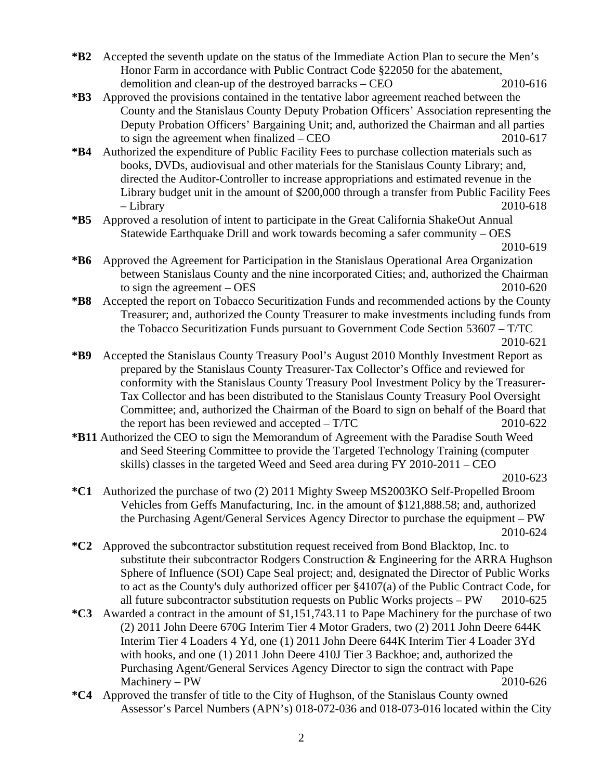- **\*B2** Accepted the seventh update on the status of the Immediate Action Plan to secure the Men's Honor Farm in accordance with Public Contract Code §22050 for the abatement, demolition and clean-up of the destroyed barracks – CEO 2010-616
- **\*B3** Approved the provisions contained in the tentative labor agreement reached between the County and the Stanislaus County Deputy Probation Officers' Association representing the Deputy Probation Officers' Bargaining Unit; and, authorized the Chairman and all parties to sign the agreement when finalized – CEO 2010-617
- **\*B4** Authorized the expenditure of Public Facility Fees to purchase collection materials such as books, DVDs, audiovisual and other materials for the Stanislaus County Library; and, directed the Auditor-Controller to increase appropriations and estimated revenue in the Library budget unit in the amount of \$200,000 through a transfer from Public Facility Fees – Library 2010-618
- **\*B5** Approved a resolution of intent to participate in the Great California ShakeOut Annual Statewide Earthquake Drill and work towards becoming a safer community – OES

- **\*B6** Approved the Agreement for Participation in the Stanislaus Operational Area Organization between Stanislaus County and the nine incorporated Cities; and, authorized the Chairman to sign the agreement  $-$  OES 2010-620
- **\*B8** Accepted the report on Tobacco Securitization Funds and recommended actions by the County Treasurer; and, authorized the County Treasurer to make investments including funds from the Tobacco Securitization Funds pursuant to Government Code Section 53607 – T/TC 2010-621

- **\*B9** Accepted the Stanislaus County Treasury Pool's August 2010 Monthly Investment Report as prepared by the Stanislaus County Treasurer-Tax Collector's Office and reviewed for conformity with the Stanislaus County Treasury Pool Investment Policy by the Treasurer-Tax Collector and has been distributed to the Stanislaus County Treasury Pool Oversight Committee; and, authorized the Chairman of the Board to sign on behalf of the Board that the report has been reviewed and accepted  $- T/TC$  2010-622
- **\*B11** Authorized the CEO to sign the Memorandum of Agreement with the Paradise South Weed and Seed Steering Committee to provide the Targeted Technology Training (computer skills) classes in the targeted Weed and Seed area during FY 2010-2011 – CEO

- **\*C1** Authorized the purchase of two (2) 2011 Mighty Sweep MS2003KO Self-Propelled Broom Vehicles from Geffs Manufacturing, Inc. in the amount of \$121,888.58; and, authorized the Purchasing Agent/General Services Agency Director to purchase the equipment – PW 2010-624
- **\*C2** Approved the subcontractor substitution request received from Bond Blacktop, Inc. to substitute their subcontractor Rodgers Construction & Engineering for the ARRA Hughson Sphere of Influence (SOI) Cape Seal project; and, designated the Director of Public Works to act as the County's duly authorized officer per §4107(a) of the Public Contract Code, for all future subcontractor substitution requests on Public Works projects – PW 2010-625
- **\*C3** Awarded a contract in the amount of \$1,151,743.11 to Pape Machinery for the purchase of two (2) 2011 John Deere 670G Interim Tier 4 Motor Graders, two (2) 2011 John Deere 644K Interim Tier 4 Loaders 4 Yd, one (1) 2011 John Deere 644K Interim Tier 4 Loader 3Yd with hooks, and one (1) 2011 John Deere 410J Tier 3 Backhoe; and, authorized the Purchasing Agent/General Services Agency Director to sign the contract with Pape Machinery – PW 2010-626
- **\*C4** Approved the transfer of title to the City of Hughson, of the Stanislaus County owned Assessor's Parcel Numbers (APN's) 018-072-036 and 018-073-016 located within the City

2010-619

2010-623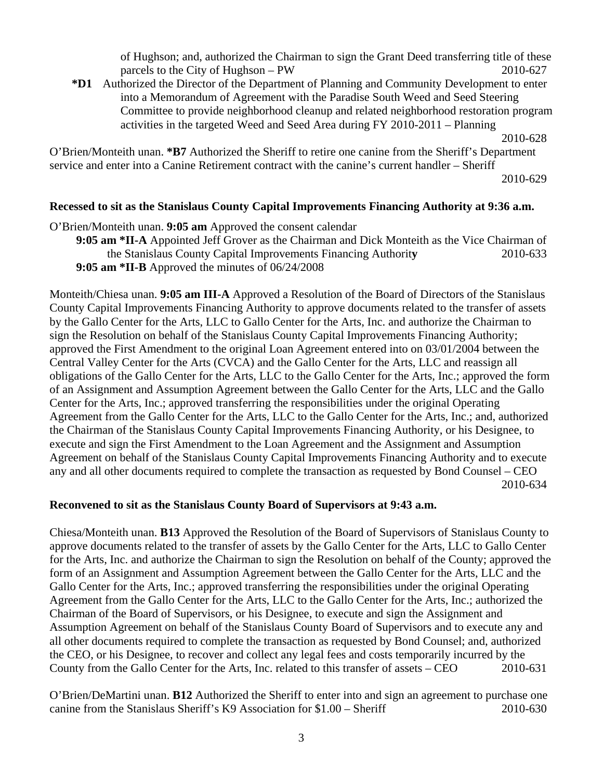of Hughson; and, authorized the Chairman to sign the Grant Deed transferring title of these parcels to the City of Hughson – PW 2010-627

**\*D1** Authorized the Director of the Department of Planning and Community Development to enter into a Memorandum of Agreement with the Paradise South Weed and Seed Steering Committee to provide neighborhood cleanup and related neighborhood restoration program activities in the targeted Weed and Seed Area during FY 2010-2011 – Planning

O'Brien/Monteith unan. **\*B7** Authorized the Sheriff to retire one canine from the Sheriff's Department service and enter into a Canine Retirement contract with the canine's current handler – Sheriff

2010-629

## **Recessed to sit as the Stanislaus County Capital Improvements Financing Authority at 9:36 a.m.**

O'Brien/Monteith unan. **9:05 am** Approved the consent calendar **9:05 am \*II-A** Appointed Jeff Grover as the Chairman and Dick Monteith as the Vice Chairman of the Stanislaus County Capital Improvements Financing Authorit**y** 2010-633 **9:05 am \*II-B** Approved the minutes of 06/24/2008

Monteith/Chiesa unan. **9:05 am III-A** Approved a Resolution of the Board of Directors of the Stanislaus County Capital Improvements Financing Authority to approve documents related to the transfer of assets by the Gallo Center for the Arts, LLC to Gallo Center for the Arts, Inc. and authorize the Chairman to sign the Resolution on behalf of the Stanislaus County Capital Improvements Financing Authority; approved the First Amendment to the original Loan Agreement entered into on 03/01/2004 between the Central Valley Center for the Arts (CVCA) and the Gallo Center for the Arts, LLC and reassign all obligations of the Gallo Center for the Arts, LLC to the Gallo Center for the Arts, Inc.; approved the form of an Assignment and Assumption Agreement between the Gallo Center for the Arts, LLC and the Gallo Center for the Arts, Inc.; approved transferring the responsibilities under the original Operating Agreement from the Gallo Center for the Arts, LLC to the Gallo Center for the Arts, Inc.; and, authorized the Chairman of the Stanislaus County Capital Improvements Financing Authority, or his Designee, to execute and sign the First Amendment to the Loan Agreement and the Assignment and Assumption Agreement on behalf of the Stanislaus County Capital Improvements Financing Authority and to execute any and all other documents required to complete the transaction as requested by Bond Counsel – CEO 2010-634

#### **Reconvened to sit as the Stanislaus County Board of Supervisors at 9:43 a.m.**

Chiesa/Monteith unan. **B13** Approved the Resolution of the Board of Supervisors of Stanislaus County to approve documents related to the transfer of assets by the Gallo Center for the Arts, LLC to Gallo Center for the Arts, Inc. and authorize the Chairman to sign the Resolution on behalf of the County; approved the form of an Assignment and Assumption Agreement between the Gallo Center for the Arts, LLC and the Gallo Center for the Arts, Inc.; approved transferring the responsibilities under the original Operating Agreement from the Gallo Center for the Arts, LLC to the Gallo Center for the Arts, Inc.; authorized the Chairman of the Board of Supervisors, or his Designee, to execute and sign the Assignment and Assumption Agreement on behalf of the Stanislaus County Board of Supervisors and to execute any and all other documents required to complete the transaction as requested by Bond Counsel; and, authorized the CEO, or his Designee, to recover and collect any legal fees and costs temporarily incurred by the County from the Gallo Center for the Arts, Inc. related to this transfer of assets – CEO 2010-631

O'Brien/DeMartini unan. **B12** Authorized the Sheriff to enter into and sign an agreement to purchase one canine from the Stanislaus Sheriff's K9 Association for \$1.00 – Sheriff 2010-630

 <sup>2010-628</sup>